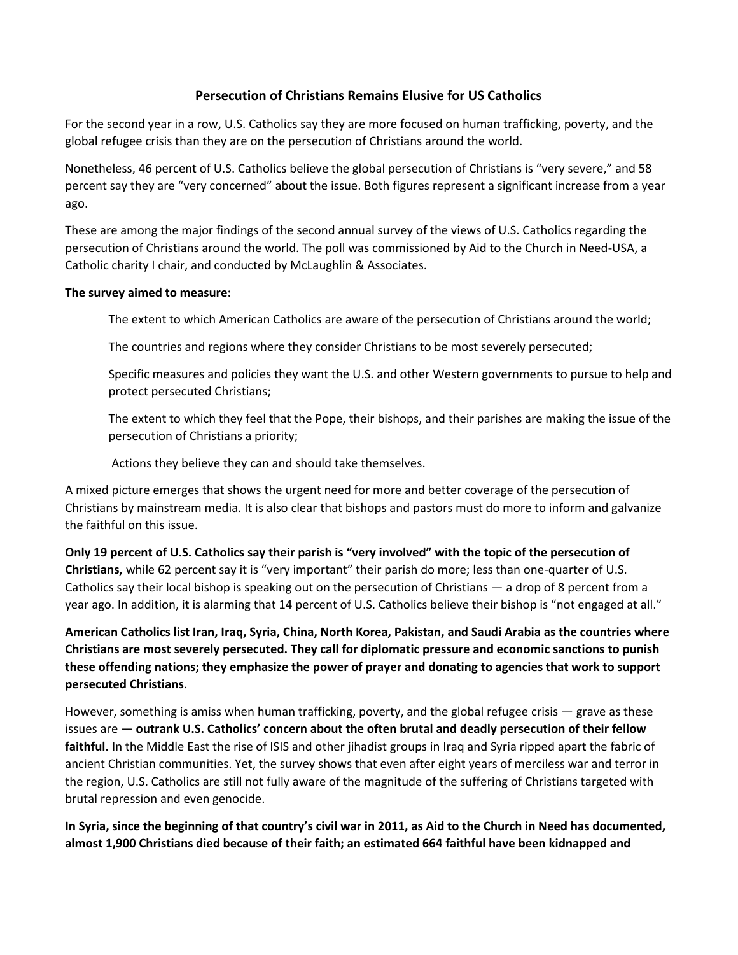## **Persecution of Christians Remains Elusive for US Catholics**

For the second year in a row, U.S. Catholics say they are more focused on human trafficking, poverty, and the global refugee crisis than they are on the persecution of Christians around the world.

Nonetheless, 46 percent of U.S. Catholics believe the global persecution of Christians is "very severe," and 58 percent say they are "very concerned" about the issue. Both figures represent a significant increase from a year ago.

These are among the major findings of the second annual survey of the views of U.S. Catholics regarding the persecution of Christians around the world. The poll was commissioned by Aid to the Church in Need-USA, a Catholic charity I chair, and conducted by McLaughlin & Associates.

## **The survey aimed to measure:**

The extent to which American Catholics are aware of the persecution of Christians around the world;

The countries and regions where they consider Christians to be most severely persecuted;

Specific measures and policies they want the U.S. and other Western governments to pursue to help and protect persecuted Christians;

The extent to which they feel that the Pope, their bishops, and their parishes are making the issue of the persecution of Christians a priority;

Actions they believe they can and should take themselves.

A mixed picture emerges that shows the urgent need for more and better coverage of the persecution of Christians by mainstream media. It is also clear that bishops and pastors must do more to inform and galvanize the faithful on this issue.

**Only 19 percent of U.S. Catholics say their parish is "very involved" with the topic of the persecution of** 

**Christians,** while 62 percent say it is "very important" their parish do more; less than one-quarter of U.S. Catholics say their local bishop is speaking out on the persecution of Christians — a drop of 8 percent from a year ago. In addition, it is alarming that 14 percent of U.S. Catholics believe their bishop is "not engaged at all."

**American Catholics list Iran, Iraq, Syria, China, North Korea, Pakistan, and Saudi Arabia as the countries where Christians are most severely persecuted. They call for diplomatic pressure and economic sanctions to punish these offending nations; they emphasize the power of prayer and donating to agencies that work to support persecuted Christians**.

However, something is amiss when human trafficking, poverty, and the global refugee crisis — grave as these issues are — **outrank U.S. Catholics' concern about the often brutal and deadly persecution of their fellow faithful.** In the Middle East the rise of ISIS and other jihadist groups in Iraq and Syria ripped apart the fabric of ancient Christian communities. Yet, the survey shows that even after eight years of merciless war and terror in the region, U.S. Catholics are still not fully aware of the magnitude of the suffering of Christians targeted with brutal repression and even genocide.

**In Syria, since the beginning of that country's civil war in 2011, as Aid to the Church in Need has documented, almost 1,900 Christians died because of their faith; an estimated 664 faithful have been kidnapped and**